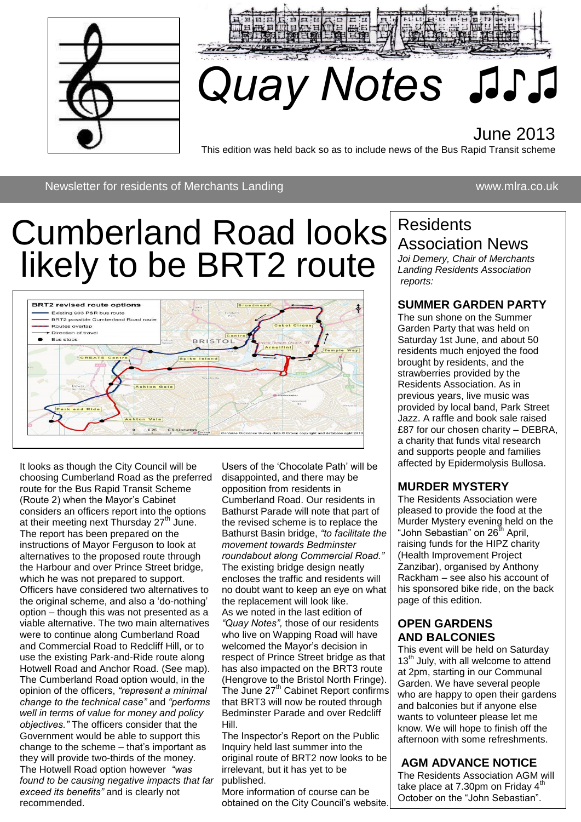



# *Quay Notes ♫♪♫*

### June 2013

This edition was held back so as to include news of the Bus Rapid Transit scheme

Newsletter for residents of Merchants Landing www.mlra.co.uk

### Cumberland Road looks Residents likely to be BRT2 route



It looks as though the City Council will be choosing Cumberland Road as the preferred route for the Bus Rapid Transit Scheme (Route 2) when the Mayor's Cabinet considers an officers report into the options at their meeting next Thursday  $27<sup>th</sup>$  June. The report has been prepared on the instructions of Mayor Ferguson to look at alternatives to the proposed route through the Harbour and over Prince Street bridge, which he was not prepared to support. Officers have considered two alternatives to the original scheme, and also a 'do-nothing' option – though this was not presented as a viable alternative. The two main alternatives were to continue along Cumberland Road and Commercial Road to Redcliff Hill, or to use the existing Park-and-Ride route along Hotwell Road and Anchor Road. (See map). The Cumberland Road option would, in the opinion of the officers, *"represent a minimal change to the technical case"* and *"performs well in terms of value for money and policy objectives."* The officers consider that the Government would be able to support this change to the scheme – that's important as they will provide two-thirds of the money. The Hotwell Road option however *"was found to be causing negative impacts that far exceed its benefits"* and is clearly not recommended.

Users of the 'Chocolate Path' will be disappointed, and there may be opposition from residents in Cumberland Road. Our residents in Bathurst Parade will note that part of the revised scheme is to replace the Bathurst Basin bridge, *"to facilitate the movement towards Bedminster roundabout along Commercial Road."*  The existing bridge design neatly encloses the traffic and residents will no doubt want to keep an eye on what the replacement will look like. As we noted in the last edition of *"Quay Notes",* those of our residents who live on Wapping Road will have welcomed the Mayor's decision in respect of Prince Street bridge as that has also impacted on the BRT3 route (Hengrove to the Bristol North Fringe). The June 27<sup>th</sup> Cabinet Report confirms that BRT3 will now be routed through Bedminster Parade and over Redcliff Hill.

The Inspector's Report on the Public Inquiry held last summer into the original route of BRT2 now looks to be irrelevant, but it has yet to be published.

More information of course can be obtained on the City Council's website.

## Association News

*Joi Demery, Chair of Merchants Landing Residents Association reports:*

#### **SUMMER GARDEN PARTY**

The sun shone on the Summer Garden Party that was held on Saturday 1st June, and about 50 residents much enjoyed the food brought by residents, and the strawberries provided by the Residents Association. As in previous years, live music was provided by local band, Park Street Jazz. A raffle and book sale raised £87 for our chosen charity – DEBRA, a charity that funds vital research and supports people and families affected by Epidermolysis Bullosa.

#### **MURDER MYSTERY**

The Residents Association were pleased to provide the food at the Murder Mystery evening held on the "John Sebastian" on  $26^{th}$  April, raising funds for the HIPZ charity (Health Improvement Project Zanzibar), organised by Anthony Rackham – see also his account of his sponsored bike ride, on the back page of this edition.

#### **OPEN GARDENS AND BALCONIES**

This event will be held on Saturday 13<sup>th</sup> July, with all welcome to attend at 2pm, starting in our Communal Garden. We have several people who are happy to open their gardens and balconies but if anyone else wants to volunteer please let me know. We will hope to finish off the afternoon with some refreshments.

#### **AGM ADVANCE NOTICE**

The Residents Association AGM will take place at  $7.30$ pm on Friday  $4<sup>th</sup>$ October on the "John Sebastian".